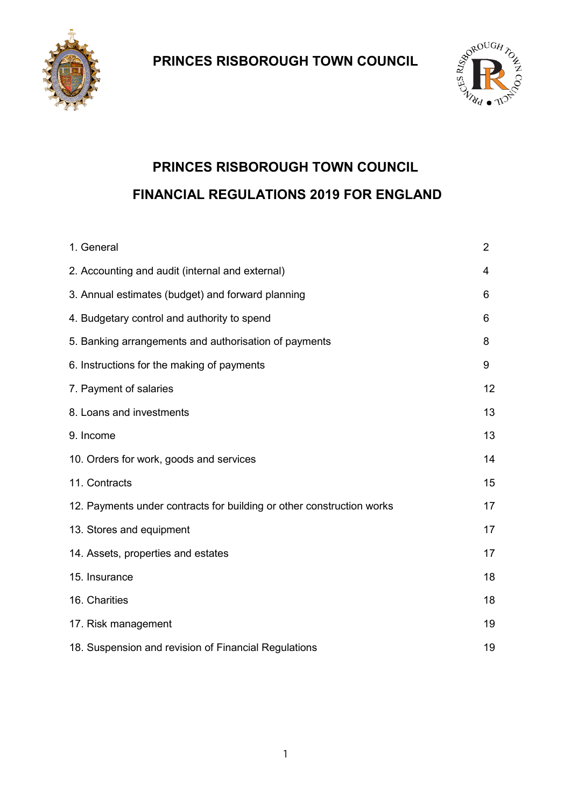



# **PRINCES RISBOROUGH TOWN COUNCIL FINANCIAL REGULATIONS 2019 FOR ENGLAND**

| 1. General                                                            | $\overline{2}$ |
|-----------------------------------------------------------------------|----------------|
| 2. Accounting and audit (internal and external)                       | 4              |
| 3. Annual estimates (budget) and forward planning                     | 6              |
| 4. Budgetary control and authority to spend                           | 6              |
| 5. Banking arrangements and authorisation of payments                 | 8              |
| 6. Instructions for the making of payments                            | 9              |
| 7. Payment of salaries                                                | 12             |
| 8. Loans and investments                                              | 13             |
| 9. Income                                                             | 13             |
| 10. Orders for work, goods and services                               | 14             |
| 11. Contracts                                                         | 15             |
| 12. Payments under contracts for building or other construction works | 17             |
| 13. Stores and equipment                                              | 17             |
| 14. Assets, properties and estates                                    | 17             |
| 15. Insurance                                                         | 18             |
| 16. Charities                                                         | 18             |
| 17. Risk management                                                   | 19             |
| 18. Suspension and revision of Financial Regulations                  | 19             |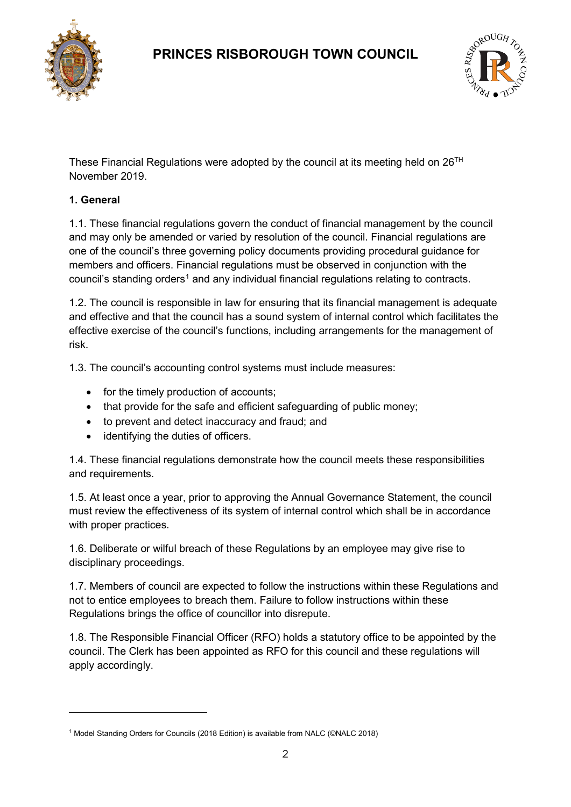



These Financial Regulations were adopted by the council at its meeting held on  $26<sup>TH</sup>$ November 2019.

### **1. General**

 $\overline{a}$ 

1.1. These financial regulations govern the conduct of financial management by the council and may only be amended or varied by resolution of the council. Financial regulations are one of the council's three governing policy documents providing procedural guidance for members and officers. Financial regulations must be observed in conjunction with the council's standing orders<sup>[1](#page-1-0)</sup> and any individual financial regulations relating to contracts.

1.2. The council is responsible in law for ensuring that its financial management is adequate and effective and that the council has a sound system of internal control which facilitates the effective exercise of the council's functions, including arrangements for the management of risk.

1.3. The council's accounting control systems must include measures:

- for the timely production of accounts;
- that provide for the safe and efficient safeguarding of public money;
- to prevent and detect inaccuracy and fraud; and
- identifying the duties of officers.

1.4. These financial regulations demonstrate how the council meets these responsibilities and requirements.

1.5. At least once a year, prior to approving the Annual Governance Statement, the council must review the effectiveness of its system of internal control which shall be in accordance with proper practices.

1.6. Deliberate or wilful breach of these Regulations by an employee may give rise to disciplinary proceedings.

1.7. Members of council are expected to follow the instructions within these Regulations and not to entice employees to breach them. Failure to follow instructions within these Regulations brings the office of councillor into disrepute.

1.8. The Responsible Financial Officer (RFO) holds a statutory office to be appointed by the council. The Clerk has been appointed as RFO for this council and these regulations will apply accordingly.

<span id="page-1-0"></span><sup>1</sup> Model Standing Orders for Councils (2018 Edition) is available from NALC (©NALC 2018)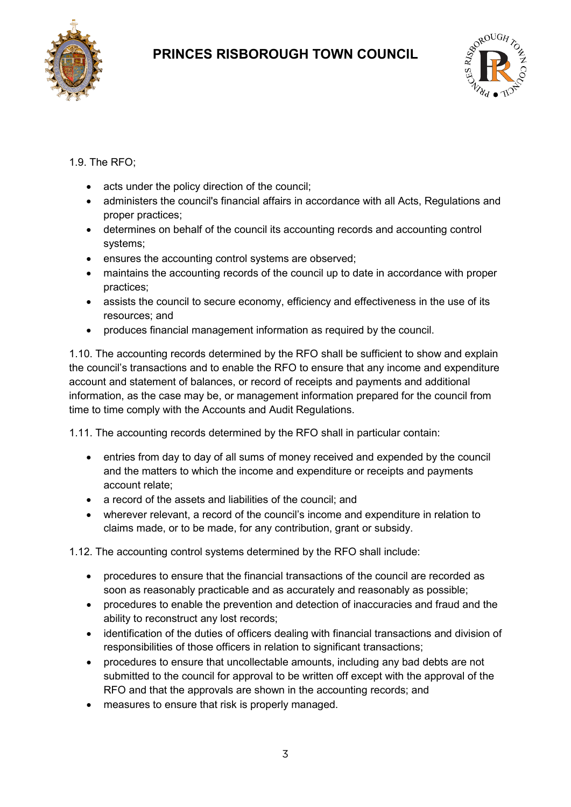



### 1.9. The RFO;

- acts under the policy direction of the council;
- administers the council's financial affairs in accordance with all Acts, Regulations and proper practices;
- determines on behalf of the council its accounting records and accounting control systems;
- ensures the accounting control systems are observed;
- maintains the accounting records of the council up to date in accordance with proper practices;
- assists the council to secure economy, efficiency and effectiveness in the use of its resources; and
- produces financial management information as required by the council.

1.10. The accounting records determined by the RFO shall be sufficient to show and explain the council's transactions and to enable the RFO to ensure that any income and expenditure account and statement of balances, or record of receipts and payments and additional information, as the case may be, or management information prepared for the council from time to time comply with the Accounts and Audit Regulations.

1.11. The accounting records determined by the RFO shall in particular contain:

- entries from day to day of all sums of money received and expended by the council and the matters to which the income and expenditure or receipts and payments account relate;
- a record of the assets and liabilities of the council; and
- wherever relevant, a record of the council's income and expenditure in relation to claims made, or to be made, for any contribution, grant or subsidy.

1.12. The accounting control systems determined by the RFO shall include:

- procedures to ensure that the financial transactions of the council are recorded as soon as reasonably practicable and as accurately and reasonably as possible;
- procedures to enable the prevention and detection of inaccuracies and fraud and the ability to reconstruct any lost records;
- identification of the duties of officers dealing with financial transactions and division of responsibilities of those officers in relation to significant transactions;
- procedures to ensure that uncollectable amounts, including any bad debts are not submitted to the council for approval to be written off except with the approval of the RFO and that the approvals are shown in the accounting records; and
- measures to ensure that risk is properly managed.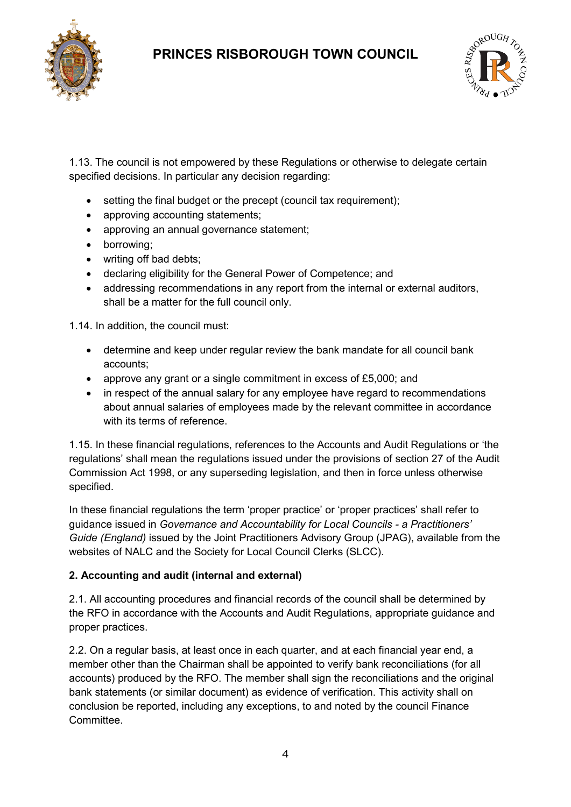



1.13. The council is not empowered by these Regulations or otherwise to delegate certain specified decisions. In particular any decision regarding:

- setting the final budget or the precept (council tax requirement);
- approving accounting statements;
- approving an annual governance statement;
- borrowing;
- writing off bad debts;
- declaring eligibility for the General Power of Competence; and
- addressing recommendations in any report from the internal or external auditors, shall be a matter for the full council only.

1.14. In addition, the council must:

- determine and keep under regular review the bank mandate for all council bank accounts;
- approve any grant or a single commitment in excess of £5,000; and
- in respect of the annual salary for any employee have regard to recommendations about annual salaries of employees made by the relevant committee in accordance with its terms of reference.

1.15. In these financial regulations, references to the Accounts and Audit Regulations or 'the regulations' shall mean the regulations issued under the provisions of section 27 of the Audit Commission Act 1998, or any superseding legislation, and then in force unless otherwise specified.

In these financial regulations the term 'proper practice' or 'proper practices' shall refer to guidance issued in *Governance and Accountability for Local Councils - a Practitioners' Guide (England)* issued by the Joint Practitioners Advisory Group (JPAG), available from the websites of NALC and the Society for Local Council Clerks (SLCC).

#### **2. Accounting and audit (internal and external)**

2.1. All accounting procedures and financial records of the council shall be determined by the RFO in accordance with the Accounts and Audit Regulations, appropriate guidance and proper practices.

2.2. On a regular basis, at least once in each quarter, and at each financial year end, a member other than the Chairman shall be appointed to verify bank reconciliations (for all accounts) produced by the RFO. The member shall sign the reconciliations and the original bank statements (or similar document) as evidence of verification. This activity shall on conclusion be reported, including any exceptions, to and noted by the council Finance **Committee**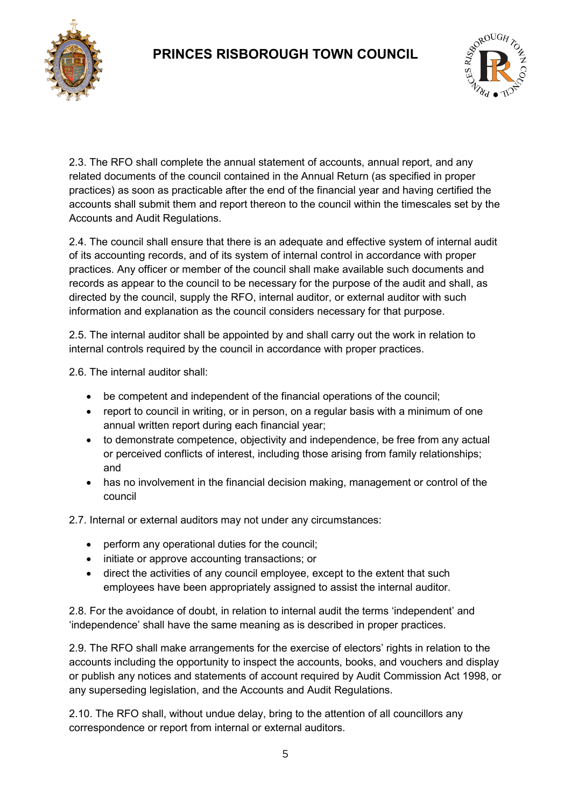



2.3. The RFO shall complete the annual statement of accounts, annual report, and any related documents of the council contained in the Annual Return (as specified in proper practices) as soon as practicable after the end of the financial year and having certified the accounts shall submit them and report thereon to the council within the timescales set by the Accounts and Audit Regulations.

2.4. The council shall ensure that there is an adequate and effective system of internal audit of its accounting records, and of its system of internal control in accordance with proper practices. Any officer or member of the council shall make available such documents and records as appear to the council to be necessary for the purpose of the audit and shall, as directed by the council, supply the RFO, internal auditor, or external auditor with such information and explanation as the council considers necessary for that purpose.

2.5. The internal auditor shall be appointed by and shall carry out the work in relation to internal controls required by the council in accordance with proper practices.

2.6. The internal auditor shall:

- be competent and independent of the financial operations of the council;
- report to council in writing, or in person, on a regular basis with a minimum of one annual written report during each financial year;
- to demonstrate competence, objectivity and independence, be free from any actual or perceived conflicts of interest, including those arising from family relationships; and
- has no involvement in the financial decision making, management or control of the council

2.7. Internal or external auditors may not under any circumstances:

- perform any operational duties for the council;
- initiate or approve accounting transactions; or
- direct the activities of any council employee, except to the extent that such employees have been appropriately assigned to assist the internal auditor.

2.8. For the avoidance of doubt, in relation to internal audit the terms 'independent' and 'independence' shall have the same meaning as is described in proper practices.

2.9. The RFO shall make arrangements for the exercise of electors' rights in relation to the accounts including the opportunity to inspect the accounts, books, and vouchers and display or publish any notices and statements of account required by Audit Commission Act 1998, or any superseding legislation, and the Accounts and Audit Regulations.

2.10. The RFO shall, without undue delay, bring to the attention of all councillors any correspondence or report from internal or external auditors.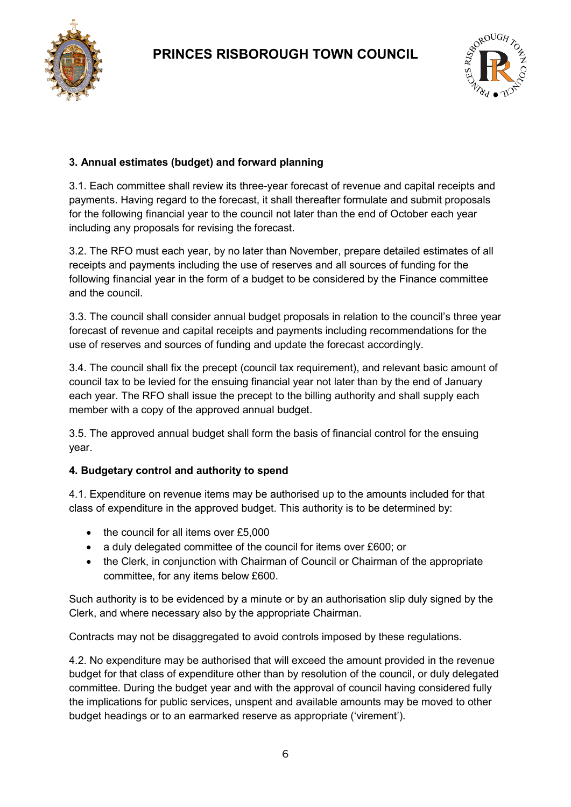



### **3. Annual estimates (budget) and forward planning**

3.1. Each committee shall review its three-year forecast of revenue and capital receipts and payments. Having regard to the forecast, it shall thereafter formulate and submit proposals for the following financial year to the council not later than the end of October each year including any proposals for revising the forecast.

3.2. The RFO must each year, by no later than November, prepare detailed estimates of all receipts and payments including the use of reserves and all sources of funding for the following financial year in the form of a budget to be considered by the Finance committee and the council.

3.3. The council shall consider annual budget proposals in relation to the council's three year forecast of revenue and capital receipts and payments including recommendations for the use of reserves and sources of funding and update the forecast accordingly.

3.4. The council shall fix the precept (council tax requirement), and relevant basic amount of council tax to be levied for the ensuing financial year not later than by the end of January each year. The RFO shall issue the precept to the billing authority and shall supply each member with a copy of the approved annual budget.

3.5. The approved annual budget shall form the basis of financial control for the ensuing year.

#### **4. Budgetary control and authority to spend**

4.1. Expenditure on revenue items may be authorised up to the amounts included for that class of expenditure in the approved budget. This authority is to be determined by:

- the council for all items over £5,000
- a duly delegated committee of the council for items over £600; or
- the Clerk, in conjunction with Chairman of Council or Chairman of the appropriate committee, for any items below £600.

Such authority is to be evidenced by a minute or by an authorisation slip duly signed by the Clerk, and where necessary also by the appropriate Chairman.

Contracts may not be disaggregated to avoid controls imposed by these regulations.

4.2. No expenditure may be authorised that will exceed the amount provided in the revenue budget for that class of expenditure other than by resolution of the council, or duly delegated committee. During the budget year and with the approval of council having considered fully the implications for public services, unspent and available amounts may be moved to other budget headings or to an earmarked reserve as appropriate ('virement').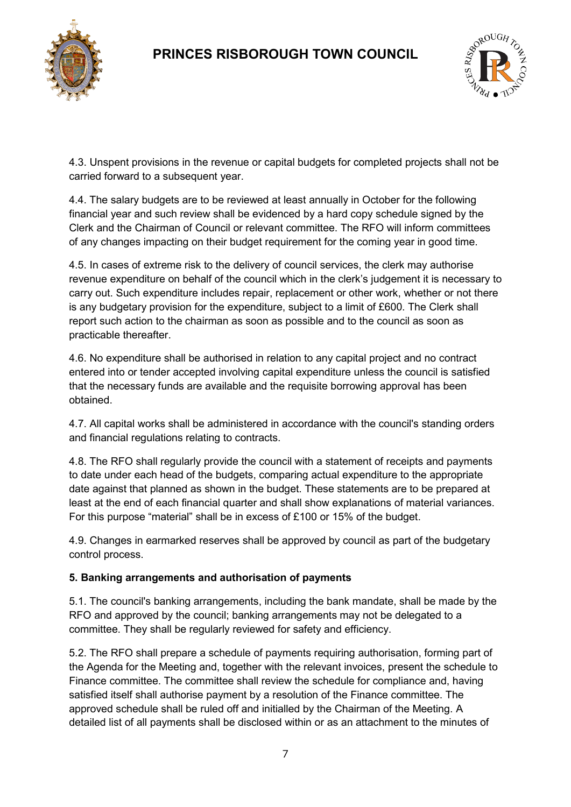



4.3. Unspent provisions in the revenue or capital budgets for completed projects shall not be carried forward to a subsequent year.

4.4. The salary budgets are to be reviewed at least annually in October for the following financial year and such review shall be evidenced by a hard copy schedule signed by the Clerk and the Chairman of Council or relevant committee. The RFO will inform committees of any changes impacting on their budget requirement for the coming year in good time.

4.5. In cases of extreme risk to the delivery of council services, the clerk may authorise revenue expenditure on behalf of the council which in the clerk's judgement it is necessary to carry out. Such expenditure includes repair, replacement or other work, whether or not there is any budgetary provision for the expenditure, subject to a limit of £600. The Clerk shall report such action to the chairman as soon as possible and to the council as soon as practicable thereafter.

4.6. No expenditure shall be authorised in relation to any capital project and no contract entered into or tender accepted involving capital expenditure unless the council is satisfied that the necessary funds are available and the requisite borrowing approval has been obtained.

4.7. All capital works shall be administered in accordance with the council's standing orders and financial regulations relating to contracts.

4.8. The RFO shall regularly provide the council with a statement of receipts and payments to date under each head of the budgets, comparing actual expenditure to the appropriate date against that planned as shown in the budget. These statements are to be prepared at least at the end of each financial quarter and shall show explanations of material variances. For this purpose "material" shall be in excess of £100 or 15% of the budget.

4.9. Changes in earmarked reserves shall be approved by council as part of the budgetary control process.

### **5. Banking arrangements and authorisation of payments**

5.1. The council's banking arrangements, including the bank mandate, shall be made by the RFO and approved by the council; banking arrangements may not be delegated to a committee. They shall be regularly reviewed for safety and efficiency.

5.2. The RFO shall prepare a schedule of payments requiring authorisation, forming part of the Agenda for the Meeting and, together with the relevant invoices, present the schedule to Finance committee. The committee shall review the schedule for compliance and, having satisfied itself shall authorise payment by a resolution of the Finance committee. The approved schedule shall be ruled off and initialled by the Chairman of the Meeting. A detailed list of all payments shall be disclosed within or as an attachment to the minutes of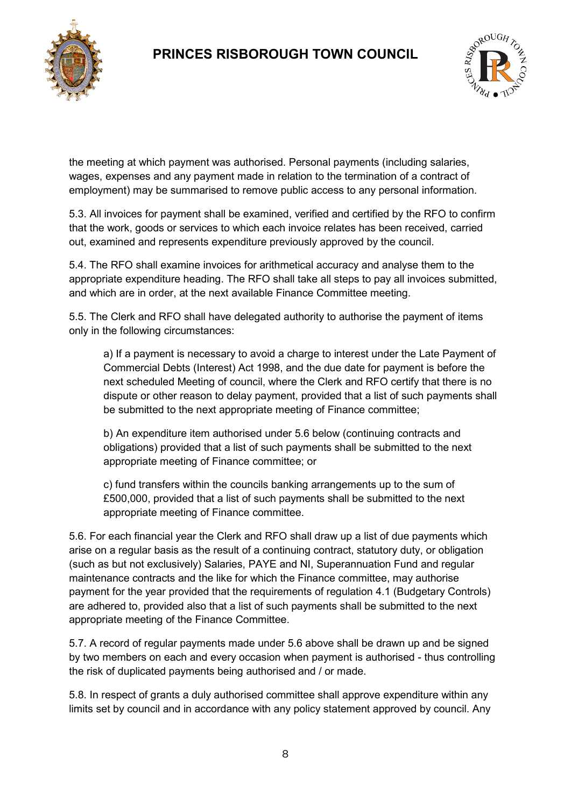



the meeting at which payment was authorised. Personal payments (including salaries, wages, expenses and any payment made in relation to the termination of a contract of employment) may be summarised to remove public access to any personal information.

5.3. All invoices for payment shall be examined, verified and certified by the RFO to confirm that the work, goods or services to which each invoice relates has been received, carried out, examined and represents expenditure previously approved by the council.

5.4. The RFO shall examine invoices for arithmetical accuracy and analyse them to the appropriate expenditure heading. The RFO shall take all steps to pay all invoices submitted, and which are in order, at the next available Finance Committee meeting.

5.5. The Clerk and RFO shall have delegated authority to authorise the payment of items only in the following circumstances:

a) If a payment is necessary to avoid a charge to interest under the Late Payment of Commercial Debts (Interest) Act 1998, and the due date for payment is before the next scheduled Meeting of council, where the Clerk and RFO certify that there is no dispute or other reason to delay payment, provided that a list of such payments shall be submitted to the next appropriate meeting of Finance committee;

b) An expenditure item authorised under 5.6 below (continuing contracts and obligations) provided that a list of such payments shall be submitted to the next appropriate meeting of Finance committee; or

c) fund transfers within the councils banking arrangements up to the sum of £500,000, provided that a list of such payments shall be submitted to the next appropriate meeting of Finance committee.

5.6. For each financial year the Clerk and RFO shall draw up a list of due payments which arise on a regular basis as the result of a continuing contract, statutory duty, or obligation (such as but not exclusively) Salaries, PAYE and NI, Superannuation Fund and regular maintenance contracts and the like for which the Finance committee, may authorise payment for the year provided that the requirements of regulation 4.1 (Budgetary Controls) are adhered to, provided also that a list of such payments shall be submitted to the next appropriate meeting of the Finance Committee.

5.7. A record of regular payments made under 5.6 above shall be drawn up and be signed by two members on each and every occasion when payment is authorised - thus controlling the risk of duplicated payments being authorised and / or made.

5.8. In respect of grants a duly authorised committee shall approve expenditure within any limits set by council and in accordance with any policy statement approved by council. Any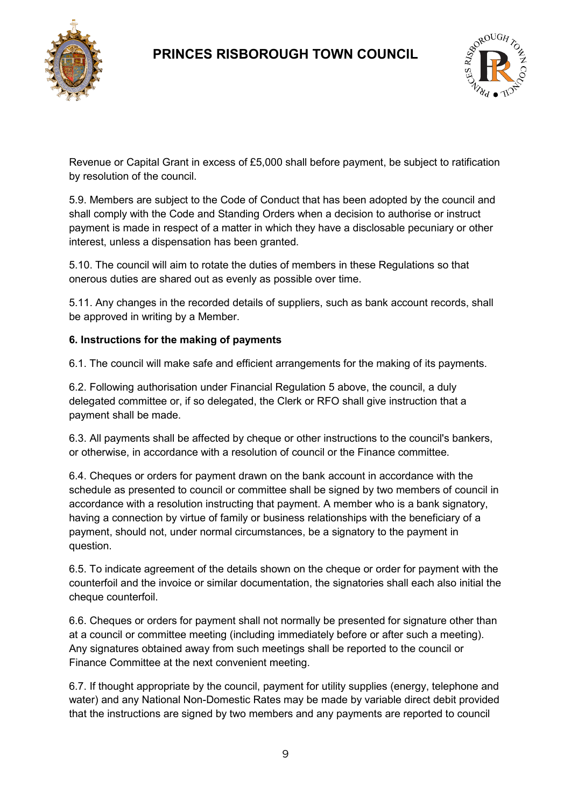



Revenue or Capital Grant in excess of £5,000 shall before payment, be subject to ratification by resolution of the council.

5.9. Members are subject to the Code of Conduct that has been adopted by the council and shall comply with the Code and Standing Orders when a decision to authorise or instruct payment is made in respect of a matter in which they have a disclosable pecuniary or other interest, unless a dispensation has been granted.

5.10. The council will aim to rotate the duties of members in these Regulations so that onerous duties are shared out as evenly as possible over time.

5.11. Any changes in the recorded details of suppliers, such as bank account records, shall be approved in writing by a Member.

### **6. Instructions for the making of payments**

6.1. The council will make safe and efficient arrangements for the making of its payments.

6.2. Following authorisation under Financial Regulation 5 above, the council, a duly delegated committee or, if so delegated, the Clerk or RFO shall give instruction that a payment shall be made.

6.3. All payments shall be affected by cheque or other instructions to the council's bankers, or otherwise, in accordance with a resolution of council or the Finance committee.

6.4. Cheques or orders for payment drawn on the bank account in accordance with the schedule as presented to council or committee shall be signed by two members of council in accordance with a resolution instructing that payment. A member who is a bank signatory, having a connection by virtue of family or business relationships with the beneficiary of a payment, should not, under normal circumstances, be a signatory to the payment in question.

6.5. To indicate agreement of the details shown on the cheque or order for payment with the counterfoil and the invoice or similar documentation, the signatories shall each also initial the cheque counterfoil.

6.6. Cheques or orders for payment shall not normally be presented for signature other than at a council or committee meeting (including immediately before or after such a meeting). Any signatures obtained away from such meetings shall be reported to the council or Finance Committee at the next convenient meeting.

6.7. If thought appropriate by the council, payment for utility supplies (energy, telephone and water) and any National Non-Domestic Rates may be made by variable direct debit provided that the instructions are signed by two members and any payments are reported to council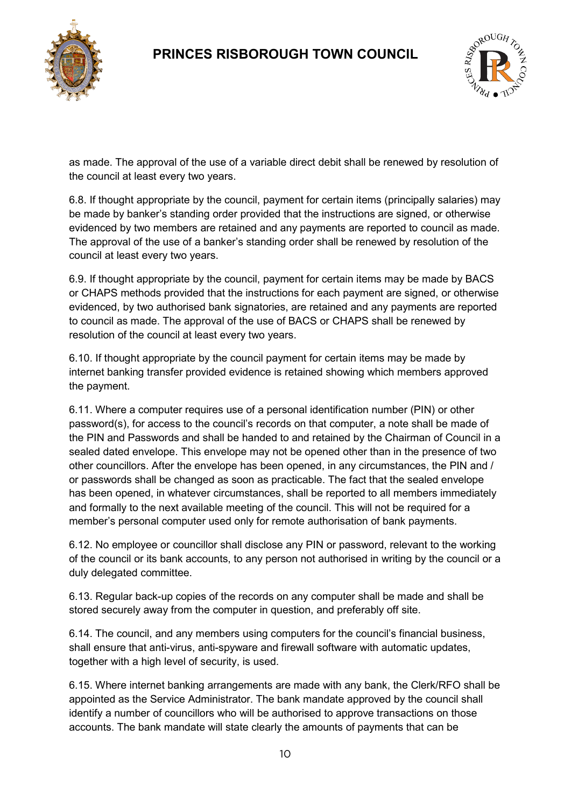



as made. The approval of the use of a variable direct debit shall be renewed by resolution of the council at least every two years.

6.8. If thought appropriate by the council, payment for certain items (principally salaries) may be made by banker's standing order provided that the instructions are signed, or otherwise evidenced by two members are retained and any payments are reported to council as made. The approval of the use of a banker's standing order shall be renewed by resolution of the council at least every two years.

6.9. If thought appropriate by the council, payment for certain items may be made by BACS or CHAPS methods provided that the instructions for each payment are signed, or otherwise evidenced, by two authorised bank signatories, are retained and any payments are reported to council as made. The approval of the use of BACS or CHAPS shall be renewed by resolution of the council at least every two years.

6.10. If thought appropriate by the council payment for certain items may be made by internet banking transfer provided evidence is retained showing which members approved the payment.

6.11. Where a computer requires use of a personal identification number (PIN) or other password(s), for access to the council's records on that computer, a note shall be made of the PIN and Passwords and shall be handed to and retained by the Chairman of Council in a sealed dated envelope. This envelope may not be opened other than in the presence of two other councillors. After the envelope has been opened, in any circumstances, the PIN and / or passwords shall be changed as soon as practicable. The fact that the sealed envelope has been opened, in whatever circumstances, shall be reported to all members immediately and formally to the next available meeting of the council. This will not be required for a member's personal computer used only for remote authorisation of bank payments.

6.12. No employee or councillor shall disclose any PIN or password, relevant to the working of the council or its bank accounts, to any person not authorised in writing by the council or a duly delegated committee.

6.13. Regular back-up copies of the records on any computer shall be made and shall be stored securely away from the computer in question, and preferably off site.

6.14. The council, and any members using computers for the council's financial business, shall ensure that anti-virus, anti-spyware and firewall software with automatic updates, together with a high level of security, is used.

6.15. Where internet banking arrangements are made with any bank, the Clerk/RFO shall be appointed as the Service Administrator. The bank mandate approved by the council shall identify a number of councillors who will be authorised to approve transactions on those accounts. The bank mandate will state clearly the amounts of payments that can be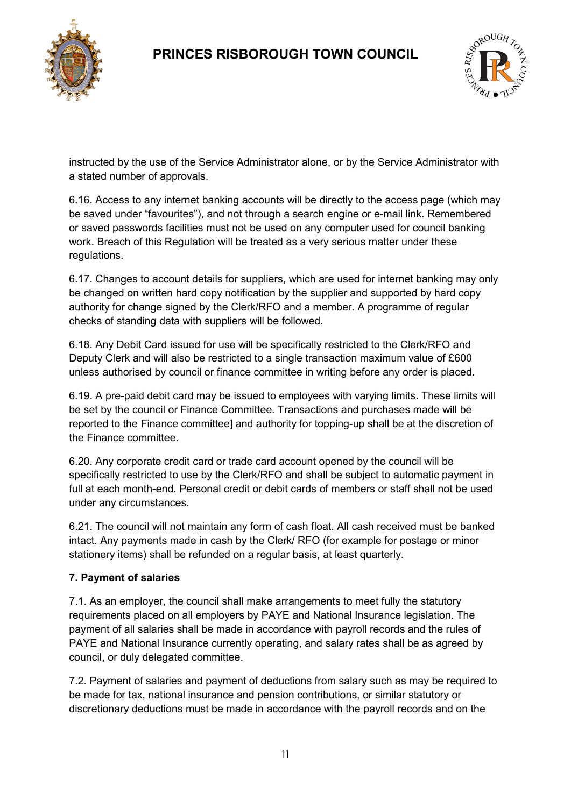



instructed by the use of the Service Administrator alone, or by the Service Administrator with a stated number of approvals.

6.16. Access to any internet banking accounts will be directly to the access page (which may be saved under "favourites"), and not through a search engine or e-mail link. Remembered or saved passwords facilities must not be used on any computer used for council banking work. Breach of this Regulation will be treated as a very serious matter under these regulations.

6.17. Changes to account details for suppliers, which are used for internet banking may only be changed on written hard copy notification by the supplier and supported by hard copy authority for change signed by the Clerk/RFO and a member. A programme of regular checks of standing data with suppliers will be followed.

6.18. Any Debit Card issued for use will be specifically restricted to the Clerk/RFO and Deputy Clerk and will also be restricted to a single transaction maximum value of £600 unless authorised by council or finance committee in writing before any order is placed.

6.19. A pre-paid debit card may be issued to employees with varying limits. These limits will be set by the council or Finance Committee. Transactions and purchases made will be reported to the Finance committee] and authority for topping-up shall be at the discretion of the Finance committee.

6.20. Any corporate credit card or trade card account opened by the council will be specifically restricted to use by the Clerk/RFO and shall be subject to automatic payment in full at each month-end. Personal credit or debit cards of members or staff shall not be used under any circumstances.

6.21. The council will not maintain any form of cash float. All cash received must be banked intact. Any payments made in cash by the Clerk/ RFO (for example for postage or minor stationery items) shall be refunded on a regular basis, at least quarterly.

### **7. Payment of salaries**

7.1. As an employer, the council shall make arrangements to meet fully the statutory requirements placed on all employers by PAYE and National Insurance legislation. The payment of all salaries shall be made in accordance with payroll records and the rules of PAYE and National Insurance currently operating, and salary rates shall be as agreed by council, or duly delegated committee.

7.2. Payment of salaries and payment of deductions from salary such as may be required to be made for tax, national insurance and pension contributions, or similar statutory or discretionary deductions must be made in accordance with the payroll records and on the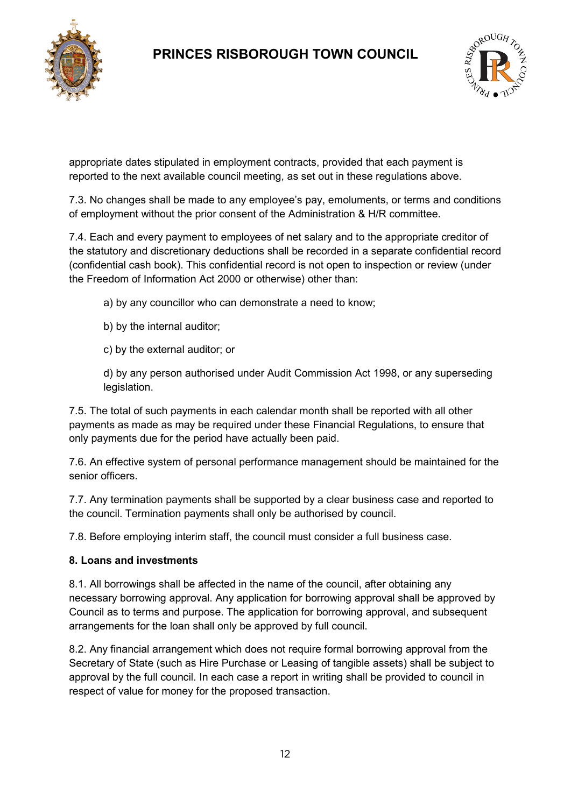



appropriate dates stipulated in employment contracts, provided that each payment is reported to the next available council meeting, as set out in these regulations above.

7.3. No changes shall be made to any employee's pay, emoluments, or terms and conditions of employment without the prior consent of the Administration & H/R committee.

7.4. Each and every payment to employees of net salary and to the appropriate creditor of the statutory and discretionary deductions shall be recorded in a separate confidential record (confidential cash book). This confidential record is not open to inspection or review (under the Freedom of Information Act 2000 or otherwise) other than:

a) by any councillor who can demonstrate a need to know;

- b) by the internal auditor;
- c) by the external auditor; or

d) by any person authorised under Audit Commission Act 1998, or any superseding legislation.

7.5. The total of such payments in each calendar month shall be reported with all other payments as made as may be required under these Financial Regulations, to ensure that only payments due for the period have actually been paid.

7.6. An effective system of personal performance management should be maintained for the senior officers.

7.7. Any termination payments shall be supported by a clear business case and reported to the council. Termination payments shall only be authorised by council.

7.8. Before employing interim staff, the council must consider a full business case.

#### **8. Loans and investments**

8.1. All borrowings shall be affected in the name of the council, after obtaining any necessary borrowing approval. Any application for borrowing approval shall be approved by Council as to terms and purpose. The application for borrowing approval, and subsequent arrangements for the loan shall only be approved by full council.

8.2. Any financial arrangement which does not require formal borrowing approval from the Secretary of State (such as Hire Purchase or Leasing of tangible assets) shall be subject to approval by the full council. In each case a report in writing shall be provided to council in respect of value for money for the proposed transaction.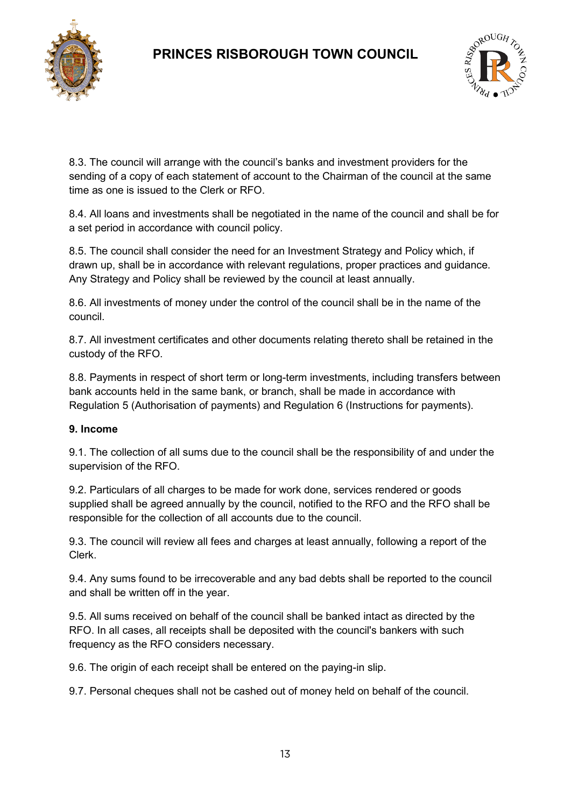



8.3. The council will arrange with the council's banks and investment providers for the sending of a copy of each statement of account to the Chairman of the council at the same time as one is issued to the Clerk or RFO.

8.4. All loans and investments shall be negotiated in the name of the council and shall be for a set period in accordance with council policy.

8.5. The council shall consider the need for an Investment Strategy and Policy which, if drawn up, shall be in accordance with relevant regulations, proper practices and guidance. Any Strategy and Policy shall be reviewed by the council at least annually.

8.6. All investments of money under the control of the council shall be in the name of the council.

8.7. All investment certificates and other documents relating thereto shall be retained in the custody of the RFO.

8.8. Payments in respect of short term or long-term investments, including transfers between bank accounts held in the same bank, or branch, shall be made in accordance with Regulation 5 (Authorisation of payments) and Regulation 6 (Instructions for payments).

#### **9. Income**

9.1. The collection of all sums due to the council shall be the responsibility of and under the supervision of the RFO.

9.2. Particulars of all charges to be made for work done, services rendered or goods supplied shall be agreed annually by the council, notified to the RFO and the RFO shall be responsible for the collection of all accounts due to the council.

9.3. The council will review all fees and charges at least annually, following a report of the Clerk.

9.4. Any sums found to be irrecoverable and any bad debts shall be reported to the council and shall be written off in the year.

9.5. All sums received on behalf of the council shall be banked intact as directed by the RFO. In all cases, all receipts shall be deposited with the council's bankers with such frequency as the RFO considers necessary.

9.6. The origin of each receipt shall be entered on the paying-in slip.

9.7. Personal cheques shall not be cashed out of money held on behalf of the council.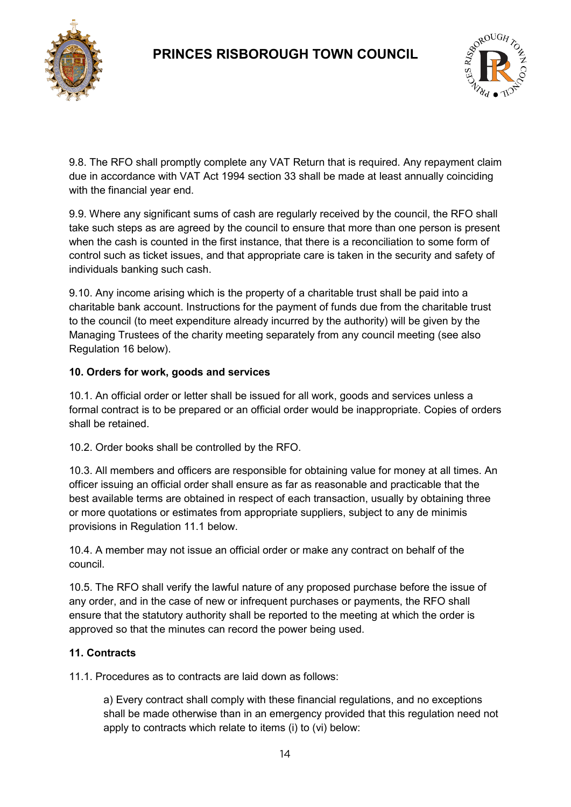



9.8. The RFO shall promptly complete any VAT Return that is required. Any repayment claim due in accordance with VAT Act 1994 section 33 shall be made at least annually coinciding with the financial year end.

9.9. Where any significant sums of cash are regularly received by the council, the RFO shall take such steps as are agreed by the council to ensure that more than one person is present when the cash is counted in the first instance, that there is a reconciliation to some form of control such as ticket issues, and that appropriate care is taken in the security and safety of individuals banking such cash.

9.10. Any income arising which is the property of a charitable trust shall be paid into a charitable bank account. Instructions for the payment of funds due from the charitable trust to the council (to meet expenditure already incurred by the authority) will be given by the Managing Trustees of the charity meeting separately from any council meeting (see also Regulation 16 below).

### **10. Orders for work, goods and services**

10.1. An official order or letter shall be issued for all work, goods and services unless a formal contract is to be prepared or an official order would be inappropriate. Copies of orders shall be retained.

10.2. Order books shall be controlled by the RFO.

10.3. All members and officers are responsible for obtaining value for money at all times. An officer issuing an official order shall ensure as far as reasonable and practicable that the best available terms are obtained in respect of each transaction, usually by obtaining three or more quotations or estimates from appropriate suppliers, subject to any de minimis provisions in Regulation 11.1 below.

10.4. A member may not issue an official order or make any contract on behalf of the council.

10.5. The RFO shall verify the lawful nature of any proposed purchase before the issue of any order, and in the case of new or infrequent purchases or payments, the RFO shall ensure that the statutory authority shall be reported to the meeting at which the order is approved so that the minutes can record the power being used.

### **11. Contracts**

11.1. Procedures as to contracts are laid down as follows:

a) Every contract shall comply with these financial regulations, and no exceptions shall be made otherwise than in an emergency provided that this regulation need not apply to contracts which relate to items (i) to (vi) below: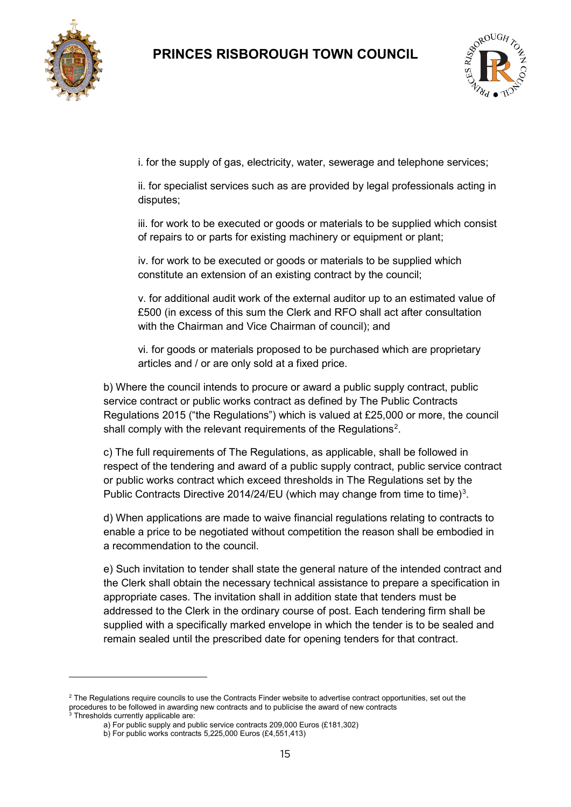



i. for the supply of gas, electricity, water, sewerage and telephone services;

ii. for specialist services such as are provided by legal professionals acting in disputes;

iii. for work to be executed or goods or materials to be supplied which consist of repairs to or parts for existing machinery or equipment or plant;

iv. for work to be executed or goods or materials to be supplied which constitute an extension of an existing contract by the council;

v. for additional audit work of the external auditor up to an estimated value of £500 (in excess of this sum the Clerk and RFO shall act after consultation with the Chairman and Vice Chairman of council); and

vi. for goods or materials proposed to be purchased which are proprietary articles and / or are only sold at a fixed price.

b) Where the council intends to procure or award a public supply contract, public service contract or public works contract as defined by The Public Contracts Regulations 2015 ("the Regulations") which is valued at £25,000 or more, the council shall comply with the relevant requirements of the Regulations<sup>[2](#page-14-0)</sup>.

c) The full requirements of The Regulations, as applicable, shall be followed in respect of the tendering and award of a public supply contract, public service contract or public works contract which exceed thresholds in The Regulations set by the Public Contracts Directive 2014/24/EU (which may change from time to time)<sup>[3](#page-14-1)</sup>.

d) When applications are made to waive financial regulations relating to contracts to enable a price to be negotiated without competition the reason shall be embodied in a recommendation to the council.

e) Such invitation to tender shall state the general nature of the intended contract and the Clerk shall obtain the necessary technical assistance to prepare a specification in appropriate cases. The invitation shall in addition state that tenders must be addressed to the Clerk in the ordinary course of post. Each tendering firm shall be supplied with a specifically marked envelope in which the tender is to be sealed and remain sealed until the prescribed date for opening tenders for that contract.

 $\overline{a}$ 

<span id="page-14-0"></span><sup>&</sup>lt;sup>2</sup> The Regulations require councils to use the Contracts Finder website to advertise contract opportunities, set out the procedures to be followed in a be followed in a material in a series were contracted populations to be followed in a series was discussed in the award of new contracts and to publicise the award of new contracts and to pub

<span id="page-14-1"></span><sup>&</sup>lt;sup>3</sup> Thresholds currently applicable are:

a) For public supply and public service contracts 209,000 Euros (£181,302)

b) For public works contracts 5,225,000 Euros (£4,551,413)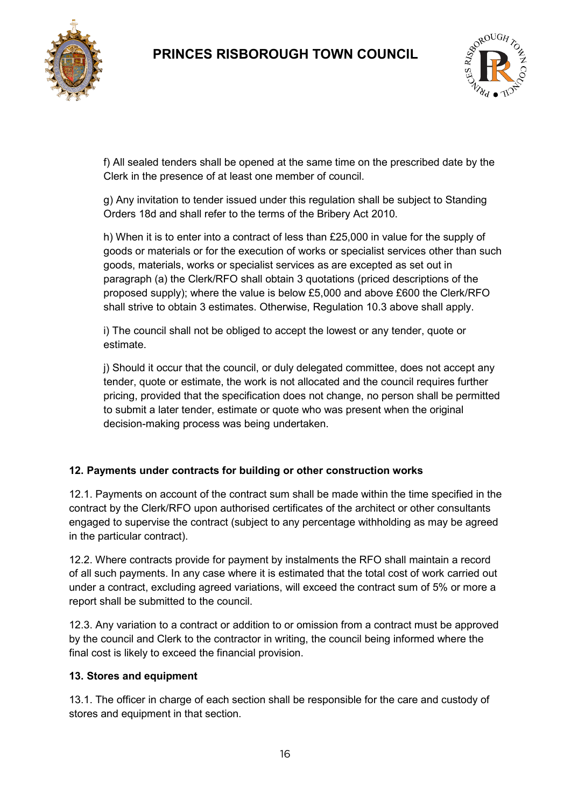



f) All sealed tenders shall be opened at the same time on the prescribed date by the Clerk in the presence of at least one member of council.

g) Any invitation to tender issued under this regulation shall be subject to Standing Orders 18d and shall refer to the terms of the Bribery Act 2010.

h) When it is to enter into a contract of less than £25,000 in value for the supply of goods or materials or for the execution of works or specialist services other than such goods, materials, works or specialist services as are excepted as set out in paragraph (a) the Clerk/RFO shall obtain 3 quotations (priced descriptions of the proposed supply); where the value is below £5,000 and above £600 the Clerk/RFO shall strive to obtain 3 estimates. Otherwise, Regulation 10.3 above shall apply.

i) The council shall not be obliged to accept the lowest or any tender, quote or estimate.

j) Should it occur that the council, or duly delegated committee, does not accept any tender, quote or estimate, the work is not allocated and the council requires further pricing, provided that the specification does not change, no person shall be permitted to submit a later tender, estimate or quote who was present when the original decision-making process was being undertaken.

#### **12. Payments under contracts for building or other construction works**

12.1. Payments on account of the contract sum shall be made within the time specified in the contract by the Clerk/RFO upon authorised certificates of the architect or other consultants engaged to supervise the contract (subject to any percentage withholding as may be agreed in the particular contract).

12.2. Where contracts provide for payment by instalments the RFO shall maintain a record of all such payments. In any case where it is estimated that the total cost of work carried out under a contract, excluding agreed variations, will exceed the contract sum of 5% or more a report shall be submitted to the council.

12.3. Any variation to a contract or addition to or omission from a contract must be approved by the council and Clerk to the contractor in writing, the council being informed where the final cost is likely to exceed the financial provision.

#### **13. Stores and equipment**

13.1. The officer in charge of each section shall be responsible for the care and custody of stores and equipment in that section.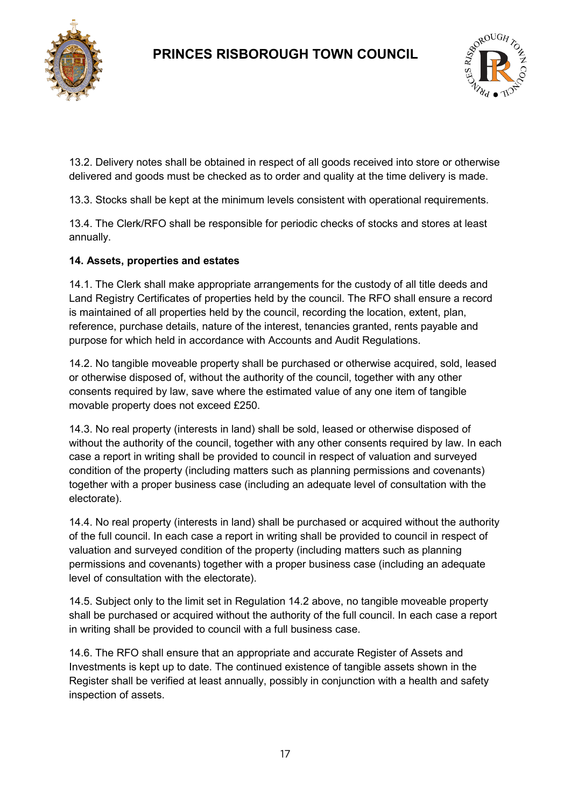



13.2. Delivery notes shall be obtained in respect of all goods received into store or otherwise delivered and goods must be checked as to order and quality at the time delivery is made.

13.3. Stocks shall be kept at the minimum levels consistent with operational requirements.

13.4. The Clerk/RFO shall be responsible for periodic checks of stocks and stores at least annually.

### **14. Assets, properties and estates**

14.1. The Clerk shall make appropriate arrangements for the custody of all title deeds and Land Registry Certificates of properties held by the council. The RFO shall ensure a record is maintained of all properties held by the council, recording the location, extent, plan, reference, purchase details, nature of the interest, tenancies granted, rents payable and purpose for which held in accordance with Accounts and Audit Regulations.

14.2. No tangible moveable property shall be purchased or otherwise acquired, sold, leased or otherwise disposed of, without the authority of the council, together with any other consents required by law, save where the estimated value of any one item of tangible movable property does not exceed £250.

14.3. No real property (interests in land) shall be sold, leased or otherwise disposed of without the authority of the council, together with any other consents required by law. In each case a report in writing shall be provided to council in respect of valuation and surveyed condition of the property (including matters such as planning permissions and covenants) together with a proper business case (including an adequate level of consultation with the electorate).

14.4. No real property (interests in land) shall be purchased or acquired without the authority of the full council. In each case a report in writing shall be provided to council in respect of valuation and surveyed condition of the property (including matters such as planning permissions and covenants) together with a proper business case (including an adequate level of consultation with the electorate).

14.5. Subject only to the limit set in Regulation 14.2 above, no tangible moveable property shall be purchased or acquired without the authority of the full council. In each case a report in writing shall be provided to council with a full business case.

14.6. The RFO shall ensure that an appropriate and accurate Register of Assets and Investments is kept up to date. The continued existence of tangible assets shown in the Register shall be verified at least annually, possibly in conjunction with a health and safety inspection of assets.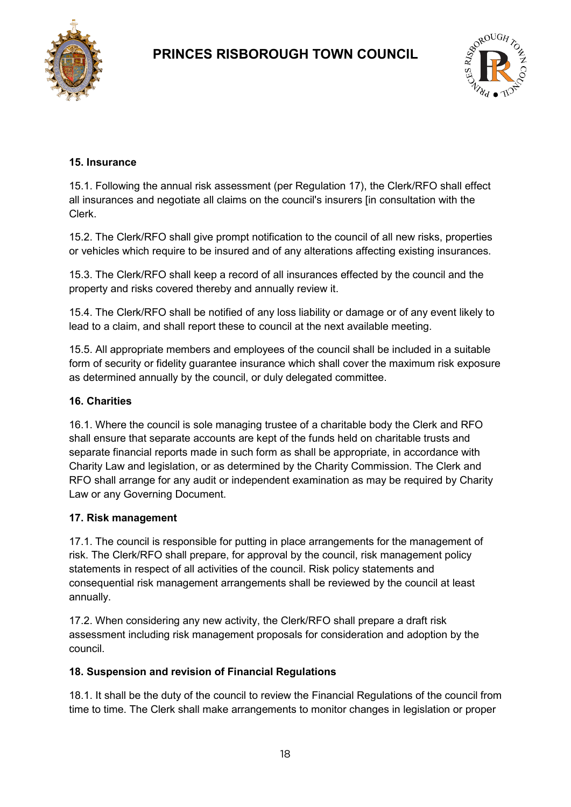



### **15. Insurance**

15.1. Following the annual risk assessment (per Regulation 17), the Clerk/RFO shall effect all insurances and negotiate all claims on the council's insurers [in consultation with the Clerk.

15.2. The Clerk/RFO shall give prompt notification to the council of all new risks, properties or vehicles which require to be insured and of any alterations affecting existing insurances.

15.3. The Clerk/RFO shall keep a record of all insurances effected by the council and the property and risks covered thereby and annually review it.

15.4. The Clerk/RFO shall be notified of any loss liability or damage or of any event likely to lead to a claim, and shall report these to council at the next available meeting.

15.5. All appropriate members and employees of the council shall be included in a suitable form of security or fidelity guarantee insurance which shall cover the maximum risk exposure as determined annually by the council, or duly delegated committee.

#### **16. Charities**

16.1. Where the council is sole managing trustee of a charitable body the Clerk and RFO shall ensure that separate accounts are kept of the funds held on charitable trusts and separate financial reports made in such form as shall be appropriate, in accordance with Charity Law and legislation, or as determined by the Charity Commission. The Clerk and RFO shall arrange for any audit or independent examination as may be required by Charity Law or any Governing Document.

#### **17. Risk management**

17.1. The council is responsible for putting in place arrangements for the management of risk. The Clerk/RFO shall prepare, for approval by the council, risk management policy statements in respect of all activities of the council. Risk policy statements and consequential risk management arrangements shall be reviewed by the council at least annually.

17.2. When considering any new activity, the Clerk/RFO shall prepare a draft risk assessment including risk management proposals for consideration and adoption by the council.

#### **18. Suspension and revision of Financial Regulations**

18.1. It shall be the duty of the council to review the Financial Regulations of the council from time to time. The Clerk shall make arrangements to monitor changes in legislation or proper